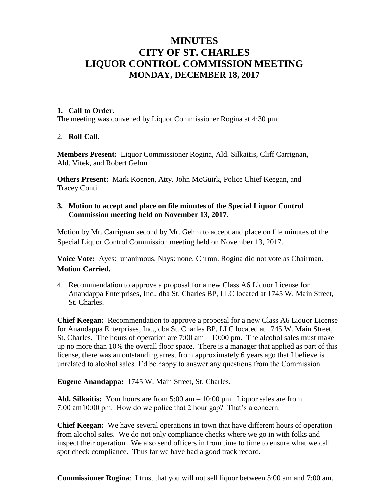# **MINUTES CITY OF ST. CHARLES LIQUOR CONTROL COMMISSION MEETING MONDAY, DECEMBER 18, 2017**

### **1. Call to Order.**

The meeting was convened by Liquor Commissioner Rogina at 4:30 pm.

# 2. **Roll Call.**

**Members Present:** Liquor Commissioner Rogina, Ald. Silkaitis, Cliff Carrignan, Ald. Vitek, and Robert Gehm

**Others Present:** Mark Koenen, Atty. John McGuirk, Police Chief Keegan, and Tracey Conti

## **3. Motion to accept and place on file minutes of the Special Liquor Control Commission meeting held on November 13, 2017.**

Motion by Mr. Carrignan second by Mr. Gehm to accept and place on file minutes of the Special Liquor Control Commission meeting held on November 13, 2017.

**Voice Vote:** Ayes: unanimous, Nays: none. Chrmn. Rogina did not vote as Chairman. **Motion Carried.**

4. Recommendation to approve a proposal for a new Class A6 Liquor License for Anandappa Enterprises, Inc., dba St. Charles BP, LLC located at 1745 W. Main Street, St. Charles.

**Chief Keegan:** Recommendation to approve a proposal for a new Class A6 Liquor License for Anandappa Enterprises, Inc., dba St. Charles BP, LLC located at 1745 W. Main Street, St. Charles. The hours of operation are  $7:00 \text{ am} - 10:00 \text{ pm}$ . The alcohol sales must make up no more than 10% the overall floor space. There is a manager that applied as part of this license, there was an outstanding arrest from approximately 6 years ago that I believe is unrelated to alcohol sales. I'd be happy to answer any questions from the Commission.

# **Eugene Anandappa:** 1745 W. Main Street, St. Charles.

**Ald. Silkaitis:** Your hours are from 5:00 am – 10:00 pm. Liquor sales are from 7:00 am10:00 pm. How do we police that 2 hour gap? That's a concern.

**Chief Keegan:** We have several operations in town that have different hours of operation from alcohol sales. We do not only compliance checks where we go in with folks and inspect their operation. We also send officers in from time to time to ensure what we call spot check compliance. Thus far we have had a good track record.

**Commissioner Rogina**: I trust that you will not sell liquor between 5:00 am and 7:00 am.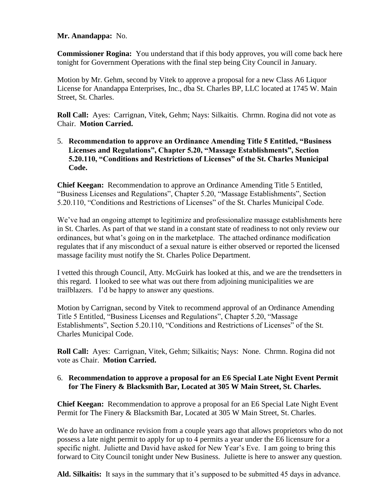### **Mr. Anandappa:** No.

**Commissioner Rogina:** You understand that if this body approves, you will come back here tonight for Government Operations with the final step being City Council in January.

Motion by Mr. Gehm, second by Vitek to approve a proposal for a new Class A6 Liquor License for Anandappa Enterprises, Inc., dba St. Charles BP, LLC located at 1745 W. Main Street, St. Charles.

**Roll Call:** Ayes: Carrignan, Vitek, Gehm; Nays: Silkaitis. Chrmn. Rogina did not vote as Chair. **Motion Carried.**

5. **Recommendation to approve an Ordinance Amending Title 5 Entitled, "Business Licenses and Regulations", Chapter 5.20, "Massage Establishments", Section 5.20.110, "Conditions and Restrictions of Licenses" of the St. Charles Municipal Code.**

**Chief Keegan:** Recommendation to approve an Ordinance Amending Title 5 Entitled, "Business Licenses and Regulations", Chapter 5.20, "Massage Establishments", Section 5.20.110, "Conditions and Restrictions of Licenses" of the St. Charles Municipal Code.

We've had an ongoing attempt to legitimize and professionalize massage establishments here in St. Charles. As part of that we stand in a constant state of readiness to not only review our ordinances, but what's going on in the marketplace. The attached ordinance modification regulates that if any misconduct of a sexual nature is either observed or reported the licensed massage facility must notify the St. Charles Police Department.

I vetted this through Council, Atty. McGuirk has looked at this, and we are the trendsetters in this regard. I looked to see what was out there from adjoining municipalities we are trailblazers. I'd be happy to answer any questions.

Motion by Carrignan, second by Vitek to recommend approval of an Ordinance Amending Title 5 Entitled, "Business Licenses and Regulations", Chapter 5.20, "Massage Establishments", Section 5.20.110, "Conditions and Restrictions of Licenses" of the St. Charles Municipal Code.

**Roll Call:** Ayes: Carrignan, Vitek, Gehm; Silkaitis; Nays: None. Chrmn. Rogina did not vote as Chair. **Motion Carried.**

# 6. **Recommendation to approve a proposal for an E6 Special Late Night Event Permit for The Finery & Blacksmith Bar, Located at 305 W Main Street, St. Charles.**

**Chief Keegan:** Recommendation to approve a proposal for an E6 Special Late Night Event Permit for The Finery & Blacksmith Bar, Located at 305 W Main Street, St. Charles.

We do have an ordinance revision from a couple years ago that allows proprietors who do not possess a late night permit to apply for up to 4 permits a year under the E6 licensure for a specific night. Juliette and David have asked for New Year's Eve. I am going to bring this forward to City Council tonight under New Business. Juliette is here to answer any question.

**Ald. Silkaitis:** It says in the summary that it's supposed to be submitted 45 days in advance.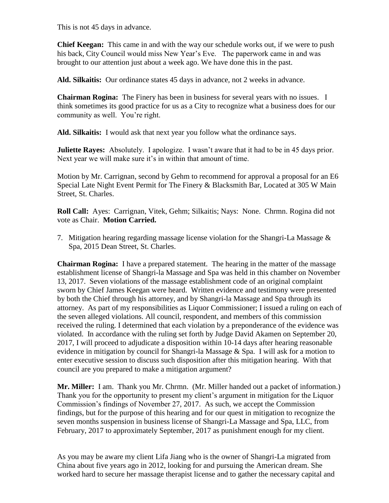This is not 45 days in advance.

**Chief Keegan:** This came in and with the way our schedule works out, if we were to push his back, City Council would miss New Year's Eve. The paperwork came in and was brought to our attention just about a week ago. We have done this in the past.

**Ald. Silkaitis:** Our ordinance states 45 days in advance, not 2 weeks in advance.

**Chairman Rogina:** The Finery has been in business for several years with no issues. I think sometimes its good practice for us as a City to recognize what a business does for our community as well. You're right.

**Ald. Silkaitis:** I would ask that next year you follow what the ordinance says.

**Juliette Rayes:** Absolutely. I apologize. I wasn't aware that it had to be in 45 days prior. Next year we will make sure it's in within that amount of time.

Motion by Mr. Carrignan, second by Gehm to recommend for approval a proposal for an E6 Special Late Night Event Permit for The Finery & Blacksmith Bar, Located at 305 W Main Street, St. Charles.

**Roll Call:** Ayes: Carrignan, Vitek, Gehm; Silkaitis; Nays: None. Chrmn. Rogina did not vote as Chair. **Motion Carried.**

7. Mitigation hearing regarding massage license violation for the Shangri-La Massage & Spa, 2015 Dean Street, St. Charles.

**Chairman Rogina:** I have a prepared statement. The hearing in the matter of the massage establishment license of Shangri-la Massage and Spa was held in this chamber on November 13, 2017. Seven violations of the massage establishment code of an original complaint sworn by Chief James Keegan were heard. Written evidence and testimony were presented by both the Chief through his attorney, and by Shangri-la Massage and Spa through its attorney. As part of my responsibilities as Liquor Commissioner; I issued a ruling on each of the seven alleged violations. All council, respondent, and members of this commission received the ruling. I determined that each violation by a preponderance of the evidence was violated. In accordance with the ruling set forth by Judge David Akamen on September 20, 2017, I will proceed to adjudicate a disposition within 10-14 days after hearing reasonable evidence in mitigation by council for Shangri-la Massage  $\&$  Spa. I will ask for a motion to enter executive session to discuss such disposition after this mitigation hearing. With that council are you prepared to make a mitigation argument?

**Mr. Miller:** I am. Thank you Mr. Chrmn. (Mr. Miller handed out a packet of information.) Thank you for the opportunity to present my client's argument in mitigation for the Liquor Commission's findings of November 27, 2017. As such, we accept the Commission findings, but for the purpose of this hearing and for our quest in mitigation to recognize the seven months suspension in business license of Shangri-La Massage and Spa, LLC, from February, 2017 to approximately September, 2017 as punishment enough for my client.

As you may be aware my client Lifa Jiang who is the owner of Shangri-La migrated from China about five years ago in 2012, looking for and pursuing the American dream. She worked hard to secure her massage therapist license and to gather the necessary capital and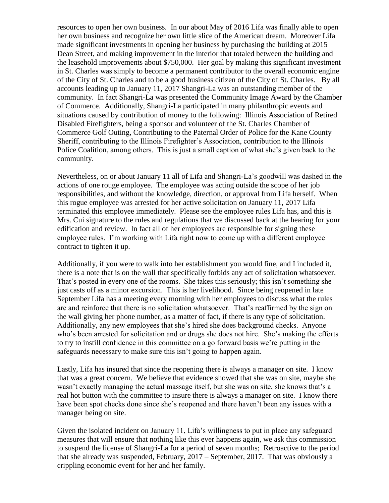resources to open her own business. In our about May of 2016 Lifa was finally able to open her own business and recognize her own little slice of the American dream. Moreover Lifa made significant investments in opening her business by purchasing the building at 2015 Dean Street, and making improvement in the interior that totaled between the building and the leasehold improvements about \$750,000. Her goal by making this significant investment in St. Charles was simply to become a permanent contributor to the overall economic engine of the City of St. Charles and to be a good business citizen of the City of St. Charles. By all accounts leading up to January 11, 2017 Shangri-La was an outstanding member of the community. In fact Shangri-La was presented the Community Image Award by the Chamber of Commerce. Additionally, Shangri-La participated in many philanthropic events and situations caused by contribution of money to the following: Illinois Association of Retired Disabled Firefighters, being a sponsor and volunteer of the St. Charles Chamber of Commerce Golf Outing, Contributing to the Paternal Order of Police for the Kane County Sheriff, contributing to the Illinois Firefighter's Association, contribution to the Illinois Police Coalition, among others. This is just a small caption of what she's given back to the community.

Nevertheless, on or about January 11 all of Lifa and Shangri-La's goodwill was dashed in the actions of one rouge employee. The employee was acting outside the scope of her job responsibilities, and without the knowledge, direction, or approval from Lifa herself. When this rogue employee was arrested for her active solicitation on January 11, 2017 Lifa terminated this employee immediately. Please see the employee rules Lifa has, and this is Mrs. Cui signature to the rules and regulations that we discussed back at the hearing for your edification and review. In fact all of her employees are responsible for signing these employee rules. I'm working with Lifa right now to come up with a different employee contract to tighten it up.

Additionally, if you were to walk into her establishment you would fine, and I included it, there is a note that is on the wall that specifically forbids any act of solicitation whatsoever. That's posted in every one of the rooms. She takes this seriously; this isn't something she just casts off as a minor excursion. This is her livelihood. Since being reopened in late September Lifa has a meeting every morning with her employees to discuss what the rules are and reinforce that there is no solicitation whatsoever. That's reaffirmed by the sign on the wall giving her phone number, as a matter of fact, if there is any type of solicitation. Additionally, any new employees that she's hired she does background checks. Anyone who's been arrested for solicitation and or drugs she does not hire. She's making the efforts to try to instill confidence in this committee on a go forward basis we're putting in the safeguards necessary to make sure this isn't going to happen again.

Lastly, Lifa has insured that since the reopening there is always a manager on site. I know that was a great concern. We believe that evidence showed that she was on site, maybe she wasn't exactly managing the actual massage itself, but she was on site, she knows that's a real hot button with the committee to insure there is always a manager on site. I know there have been spot checks done since she's reopened and there haven't been any issues with a manager being on site.

Given the isolated incident on January 11, Lifa's willingness to put in place any safeguard measures that will ensure that nothing like this ever happens again, we ask this commission to suspend the license of Shangri-La for a period of seven months; Retroactive to the period that she already was suspended, February, 2017 – September, 2017. That was obviously a crippling economic event for her and her family.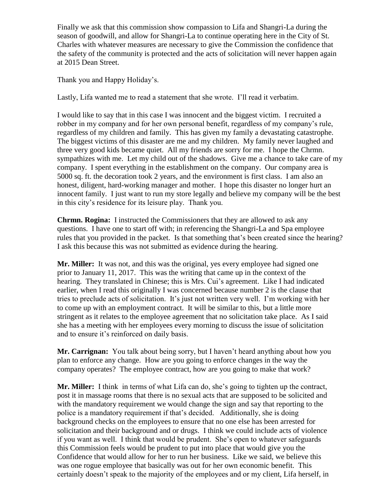Finally we ask that this commission show compassion to Lifa and Shangri-La during the season of goodwill, and allow for Shangri-La to continue operating here in the City of St. Charles with whatever measures are necessary to give the Commission the confidence that the safety of the community is protected and the acts of solicitation will never happen again at 2015 Dean Street.

Thank you and Happy Holiday's.

Lastly, Lifa wanted me to read a statement that she wrote. I'll read it verbatim.

I would like to say that in this case I was innocent and the biggest victim. I recruited a robber in my company and for her own personal benefit, regardless of my company's rule, regardless of my children and family. This has given my family a devastating catastrophe. The biggest victims of this disaster are me and my children. My family never laughed and three very good kids became quiet. All my friends are sorry for me. I hope the Chrmn. sympathizes with me. Let my child out of the shadows. Give me a chance to take care of my company. I spent everything in the establishment on the company. Our company area is 5000 sq. ft. the decoration took 2 years, and the environment is first class. I am also an honest, diligent, hard-working manager and mother. I hope this disaster no longer hurt an innocent family. I just want to run my store legally and believe my company will be the best in this city's residence for its leisure play. Thank you.

**Chrmn. Rogina:** I instructed the Commissioners that they are allowed to ask any questions. I have one to start off with; in referencing the Shangri-La and Spa employee rules that you provided in the packet. Is that something that's been created since the hearing? I ask this because this was not submitted as evidence during the hearing.

**Mr. Miller:** It was not, and this was the original, yes every employee had signed one prior to January 11, 2017. This was the writing that came up in the context of the hearing. They translated in Chinese; this is Mrs. Cui's agreement. Like I had indicated earlier, when I read this originally I was concerned because number 2 is the clause that tries to preclude acts of solicitation. It's just not written very well. I'm working with her to come up with an employment contract. It will be similar to this, but a little more stringent as it relates to the employee agreement that no solicitation take place. As I said she has a meeting with her employees every morning to discuss the issue of solicitation and to ensure it's reinforced on daily basis.

**Mr. Carrignan:** You talk about being sorry, but I haven't heard anything about how you plan to enforce any change. How are you going to enforce changes in the way the company operates? The employee contract, how are you going to make that work?

**Mr. Miller:** I think in terms of what Lifa can do, she's going to tighten up the contract, post it in massage rooms that there is no sexual acts that are supposed to be solicited and with the mandatory requirement we would change the sign and say that reporting to the police is a mandatory requirement if that's decided. Additionally, she is doing background checks on the employees to ensure that no one else has been arrested for solicitation and their background and or drugs. I think we could include acts of violence if you want as well. I think that would be prudent. She's open to whatever safeguards this Commission feels would be prudent to put into place that would give you the Confidence that would allow for her to run her business. Like we said, we believe this was one rogue employee that basically was out for her own economic benefit. This certainly doesn't speak to the majority of the employees and or my client, Lifa herself, in